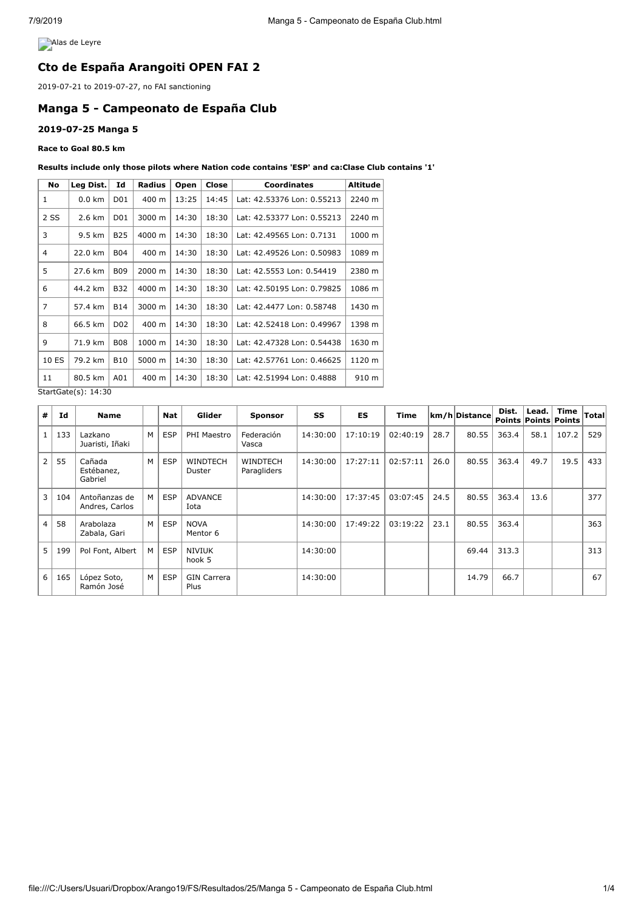**Alas de Leyre** 

## **Cto de España Arangoiti OPEN FAI 2**

2019-07-21 to 2019-07-27, no FAI sanctioning

# **Manga 5 - Campeonato de España Club**

### **2019-07-25 Manga 5**

#### **Race to Goal 80.5 km**

#### **Results include only those pilots where Nation code contains 'ESP' and ca:Clase Club contains '1'**

| No    | Leg Dist.        | Id               | Radius | Open  | Close | <b>Coordinates</b>         | <b>Altitude</b> |
|-------|------------------|------------------|--------|-------|-------|----------------------------|-----------------|
| 1     | $0.0 \text{ km}$ | D <sub>01</sub>  | 400 m  | 13:25 | 14:45 | Lat: 42.53376 Lon: 0.55213 | 2240 m          |
| 2 SS  | 2.6 km           | D <sub>01</sub>  | 3000 m | 14:30 | 18:30 | Lat: 42.53377 Lon: 0.55213 | 2240 m          |
| 3     | 9.5 km           | <b>B25</b>       | 4000 m | 14:30 | 18:30 | Lat: 42.49565 Lon: 0.7131  | 1000 m          |
| 4     | 22.0 km          | <b>B04</b>       | 400 m  | 14:30 | 18:30 | Lat: 42.49526 Lon: 0.50983 | 1089 m          |
| 5     | 27.6 km          | <b>B09</b>       | 2000 m | 14:30 | 18:30 | Lat: 42.5553 Lon: 0.54419  | 2380 m          |
| 6     | 44.2 km          | <b>B32</b>       | 4000 m | 14:30 | 18:30 | Lat: 42.50195 Lon: 0.79825 | 1086 m          |
| 7     | 57.4 km          | <b>B14</b>       | 3000 m | 14:30 | 18:30 | Lat: 42.4477 Lon: 0.58748  | 1430 m          |
| 8     | 66.5 km          | D <sub>0</sub> 2 | 400 m  | 14:30 | 18:30 | Lat: 42.52418 Lon: 0.49967 | 1398 m          |
| 9     | 71.9 km          | <b>B08</b>       | 1000 m | 14:30 | 18:30 | Lat: 42.47328 Lon: 0.54438 | 1630 m          |
| 10 ES | 79.2 km          | <b>B10</b>       | 5000 m | 14:30 | 18:30 | Lat: 42.57761 Lon: 0.46625 | 1120 m          |
| 11    | 80.5 km          | A01              | 400 m  | 14:30 | 18:30 | Lat: 42.51994 Lon: 0.4888  | 910 m           |

StartGate(s): 14:30

| $\#$           | Id  | <b>Name</b>                     |                | <b>Nat</b> | Glider                     | <b>Sponsor</b>                 | SS       | ES       | Time     |      | km/h Distance | Dist. | Lead. | Time<br><b>Points Points Points</b> | <b>Total</b> |
|----------------|-----|---------------------------------|----------------|------------|----------------------------|--------------------------------|----------|----------|----------|------|---------------|-------|-------|-------------------------------------|--------------|
|                | 133 | Lazkano<br>Juaristi, Iñaki      | M              | <b>ESP</b> | PHI Maestro                | Federación<br>Vasca            | 14:30:00 | 17:10:19 | 02:40:19 | 28.7 | 80.55         | 363.4 | 58.1  | 107.2                               | 529          |
| $\overline{2}$ | 55  | Cañada<br>Estébanez,<br>Gabriel | M              | <b>ESP</b> | <b>WINDTECH</b><br>Duster  | <b>WINDTECH</b><br>Paragliders | 14:30:00 | 17:27:11 | 02:57:11 | 26.0 | 80.55         | 363.4 | 49.7  | 19.5                                | 433          |
| $\mathbf{3}$   | 104 | Antoñanzas de<br>Andres, Carlos | мı             | <b>ESP</b> | <b>ADVANCE</b><br>Iota     |                                | 14:30:00 | 17:37:45 | 03:07:45 | 24.5 | 80.55         | 363.4 | 13.6  |                                     | 377          |
| $\overline{4}$ | 58  | Arabolaza<br>Zabala, Gari       | M <sub>1</sub> | <b>ESP</b> | <b>NOVA</b><br>Mentor 6    |                                | 14:30:00 | 17:49:22 | 03:19:22 | 23.1 | 80.55         | 363.4 |       |                                     | 363          |
| 5              | 199 | Pol Font, Albert                | M <sub>1</sub> | <b>ESP</b> | <b>NIVIUK</b><br>hook 5    |                                | 14:30:00 |          |          |      | 69.44         | 313.3 |       |                                     | 313          |
| 6              | 165 | López Soto,<br>Ramón José       | M <sub>1</sub> | <b>ESP</b> | <b>GIN Carrera</b><br>Plus |                                | 14:30:00 |          |          |      | 14.79         | 66.7  |       |                                     | 67           |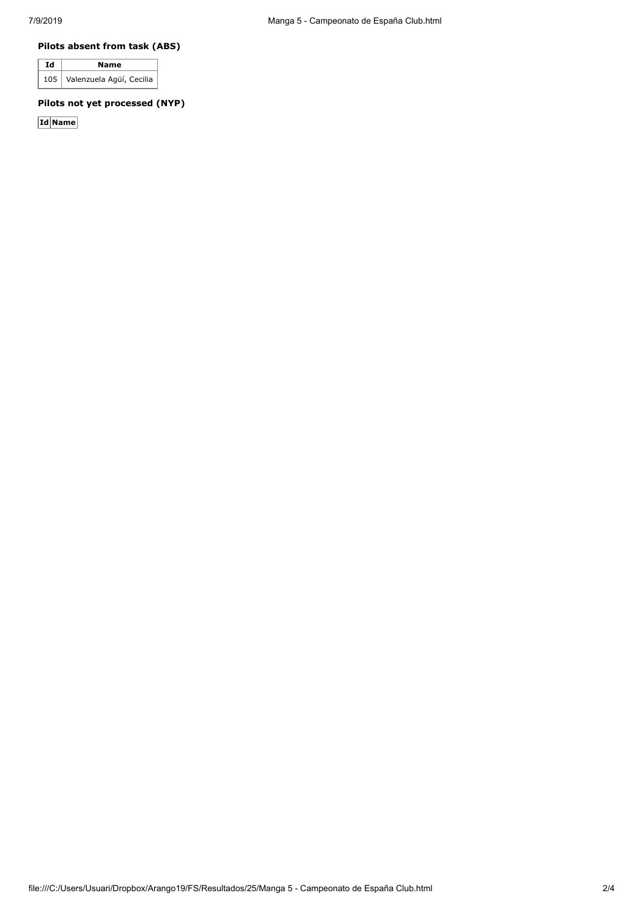### **Pilots absent from task (ABS)**

| Id | Name                         |  |  |  |
|----|------------------------------|--|--|--|
|    | 105 Valenzuela Agüí, Cecilia |  |  |  |

### **Pilots not yet processed (NYP)**

**Id Name**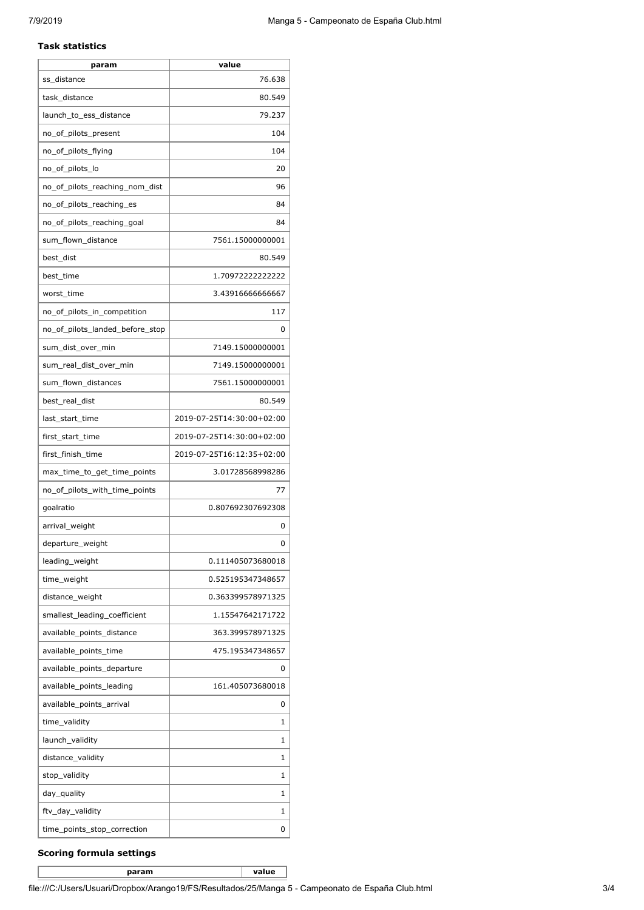#### **Task statistics**

| param                           | value                     |
|---------------------------------|---------------------------|
| ss_distance                     | 76.638                    |
| task_distance                   | 80.549                    |
| launch to ess distance          | 79.237                    |
| no_of_pilots_present            | 104                       |
| no_of_pilots_flying             | 104                       |
| no_of_pilots_lo                 | 20                        |
| no_of_pilots_reaching_nom_dist  | 96                        |
| no_of_pilots_reaching_es        | 84                        |
| no_of_pilots_reaching_goal      | 84                        |
| sum_flown_distance              | 7561.15000000001          |
| best_dist                       | 80.549                    |
| best_time                       | 1.709722222222222         |
| worst_time                      | 3.43916666666667          |
| no_of_pilots_in_competition     | 117                       |
| no of pilots landed before stop | 0                         |
| sum_dist_over_min               | 7149.15000000001          |
| sum_real_dist_over_min          | 7149.15000000001          |
| sum_flown_distances             | 7561.15000000001          |
| best_real_dist                  | 80.549                    |
| last_start_time                 | 2019-07-25T14:30:00+02:00 |
| first_start_time                | 2019-07-25T14:30:00+02:00 |
| first_finish_time               | 2019-07-25T16:12:35+02:00 |
| max_time_to_get_time_points     | 3.01728568998286          |
| no_of_pilots_with_time_points   | 77                        |
| goalratio                       | 0.807692307692308         |
| arrival weight                  | 0                         |
| departure_weight                | U                         |
| leading_weight                  | 0.111405073680018         |
| time_weight                     | 0.525195347348657         |
| distance_weight                 | 0.363399578971325         |
| smallest_leading_coefficient    | 1.15547642171722          |
| available_points_distance       | 363.399578971325          |
| available_points_time           | 475.195347348657          |
| available_points_departure      | 0                         |
| available_points_leading        | 161.405073680018          |
| available_points_arrival        | 0                         |
| time_validity                   | 1                         |
| launch_validity                 | 1                         |
| distance_validity               | 1                         |
| stop_validity                   | 1                         |
| day_quality                     | 1                         |
| ftv_day_validity                | 1                         |
| time_points_stop_correction     | 0                         |

### **Scoring formula settings**

**param value**